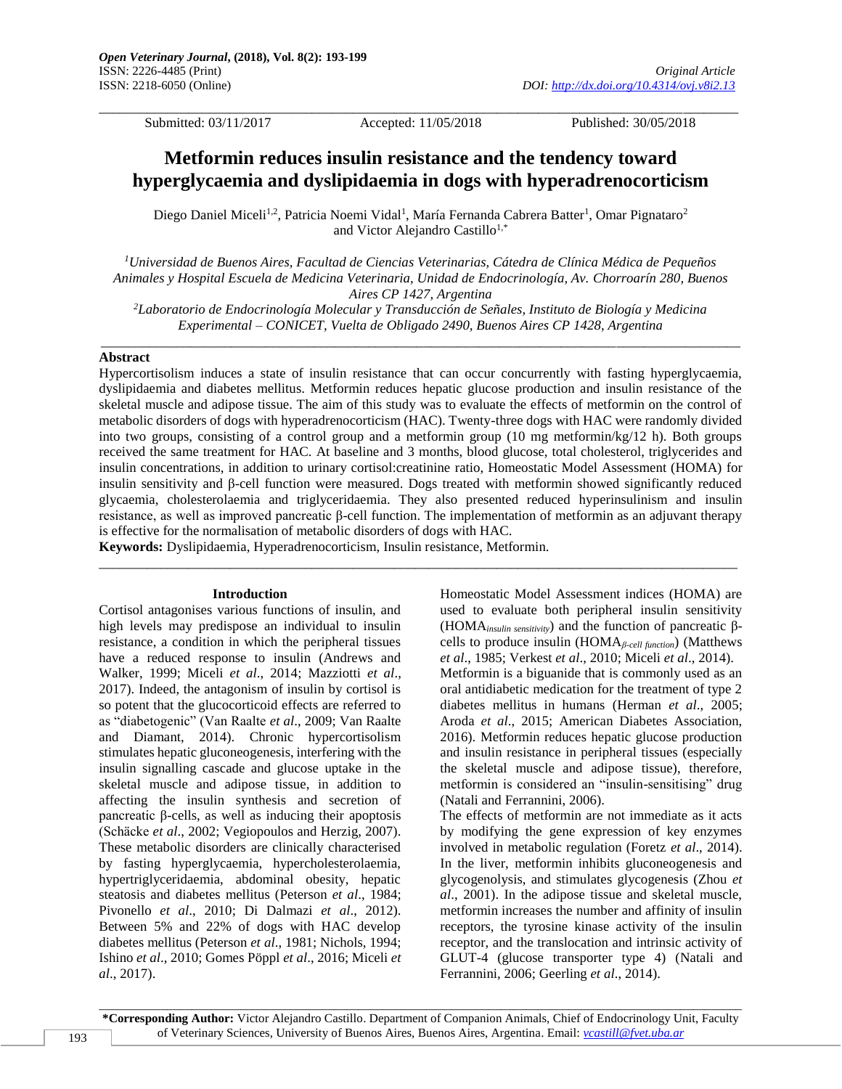\_\_\_\_\_\_\_\_\_\_\_\_\_\_\_\_\_\_\_\_\_\_\_\_\_\_\_\_\_\_\_\_\_\_\_\_\_\_\_\_\_\_\_\_\_\_\_\_\_\_\_\_\_\_\_\_\_\_\_\_\_\_\_\_\_\_\_\_\_\_\_\_\_\_\_\_\_\_\_\_\_\_\_\_\_\_\_\_\_\_\_\_\_

Submitted: 03/11/2017 Accepted: 11/05/2018 Published: 30/05/2018

# **Metformin reduces insulin resistance and the tendency toward hyperglycaemia and dyslipidaemia in dogs with hyperadrenocorticism**

Diego Daniel Miceli<sup>1,2</sup>, Patricia Noemi Vidal<sup>1</sup>, María Fernanda Cabrera Batter<sup>1</sup>, Omar Pignataro<sup>2</sup> and Victor Alejandro Castillo<sup>1,\*</sup>

*<sup>1</sup>Universidad de Buenos Aires, Facultad de Ciencias Veterinarias, Cátedra de Clínica Médica de Pequeños Animales y Hospital Escuela de Medicina Veterinaria, Unidad de Endocrinología, Av. Chorroarín 280, Buenos Aires CP 1427, Argentina*

*<sup>2</sup>Laboratorio de Endocrinología Molecular y Transducción de Señales, Instituto de Biología y Medicina Experimental – CONICET, Vuelta de Obligado 2490, Buenos Aires CP 1428, Argentina* \_\_\_\_\_\_\_\_\_\_\_\_\_\_\_\_\_\_\_\_\_\_\_\_\_\_\_\_\_\_\_\_\_\_\_\_\_\_\_\_\_\_\_\_\_\_\_\_\_\_\_\_\_\_\_\_\_\_\_\_\_\_\_\_\_\_\_\_\_\_\_\_\_\_\_\_\_\_\_\_\_\_\_\_\_\_\_\_\_\_\_\_\_

#### **Abstract**

Hypercortisolism induces a state of insulin resistance that can occur concurrently with fasting hyperglycaemia, dyslipidaemia and diabetes mellitus. Metformin reduces hepatic glucose production and insulin resistance of the skeletal muscle and adipose tissue. The aim of this study was to evaluate the effects of metformin on the control of metabolic disorders of dogs with hyperadrenocorticism (HAC). Twenty-three dogs with HAC were randomly divided into two groups, consisting of a control group and a metformin group (10 mg metformin/kg/12 h). Both groups received the same treatment for HAC. At baseline and 3 months, blood glucose, total cholesterol, triglycerides and insulin concentrations, in addition to urinary cortisol:creatinine ratio, Homeostatic Model Assessment (HOMA) for insulin sensitivity and β-cell function were measured. Dogs treated with metformin showed significantly reduced glycaemia, cholesterolaemia and triglyceridaemia. They also presented reduced hyperinsulinism and insulin resistance, as well as improved pancreatic β-cell function. The implementation of metformin as an adjuvant therapy is effective for the normalisation of metabolic disorders of dogs with HAC.

 $\_$  ,  $\_$  ,  $\_$  ,  $\_$  ,  $\_$  ,  $\_$  ,  $\_$  ,  $\_$  ,  $\_$  ,  $\_$  ,  $\_$  ,  $\_$  ,  $\_$  ,  $\_$  ,  $\_$  ,  $\_$  ,  $\_$  ,  $\_$  ,  $\_$  ,  $\_$  ,  $\_$  ,  $\_$  ,  $\_$  ,  $\_$  ,  $\_$  ,  $\_$  ,  $\_$  ,  $\_$  ,  $\_$  ,  $\_$  ,  $\_$  ,  $\_$  ,  $\_$  ,  $\_$  ,  $\_$  ,  $\_$  ,  $\_$  ,

**Keywords:** Dyslipidaemia, Hyperadrenocorticism, Insulin resistance, Metformin.

#### **Introduction**

Cortisol antagonises various functions of insulin, and high levels may predispose an individual to insulin resistance, a condition in which the peripheral tissues have a reduced response to insulin (Andrews and Walker, 1999; Miceli *et al*., 2014; Mazziotti *et al*., 2017). Indeed, the antagonism of insulin by cortisol is so potent that the glucocorticoid effects are referred to as "diabetogenic" (Van Raalte *et al*., 2009; Van Raalte and Diamant, 2014). Chronic hypercortisolism stimulates hepatic gluconeogenesis, interfering with the insulin signalling cascade and glucose uptake in the skeletal muscle and adipose tissue, in addition to affecting the insulin synthesis and secretion of pancreatic β-cells, as well as inducing their apoptosis (Schӓcke *et al*., 2002; Vegiopoulos and Herzig, 2007). These metabolic disorders are clinically characterised by fasting hyperglycaemia, hypercholesterolaemia, hypertriglyceridaemia, abdominal obesity, hepatic steatosis and diabetes mellitus (Peterson *et al*., 1984; Pivonello *et al*., 2010; Di Dalmazi *et al*., 2012). Between 5% and 22% of dogs with HAC develop diabetes mellitus (Peterson *et al*., 1981; Nichols, 1994; Ishino *et al*., 2010; Gomes Pöppl *et al*., 2016; Miceli *et al*., 2017).

Homeostatic Model Assessment indices (HOMA) are used to evaluate both peripheral insulin sensitivity (HOMA*insulin sensitivity*) and the function of pancreatic βcells to produce insulin (HOMA*β-cell function*) (Matthews *et al*., 1985; Verkest *et al*., 2010; Miceli *et al*., 2014). Metformin is a biguanide that is commonly used as an oral antidiabetic medication for the treatment of type 2 diabetes mellitus in humans (Herman *et al*., 2005; Aroda *et al*., 2015; American Diabetes Association, 2016). Metformin reduces hepatic glucose production and insulin resistance in peripheral tissues (especially the skeletal muscle and adipose tissue), therefore, metformin is considered an "insulin-sensitising" drug (Natali and Ferrannini, 2006).

The effects of metformin are not immediate as it acts by modifying the gene expression of key enzymes involved in metabolic regulation (Foretz *et al*., 2014). In the liver, metformin inhibits gluconeogenesis and glycogenolysis, and stimulates glycogenesis (Zhou *et al*., 2001). In the adipose tissue and skeletal muscle, metformin increases the number and affinity of insulin receptors, the tyrosine kinase activity of the insulin receptor, and the translocation and intrinsic activity of GLUT-4 (glucose transporter type 4) (Natali and Ferrannini, 2006; Geerling *et al*., 2014).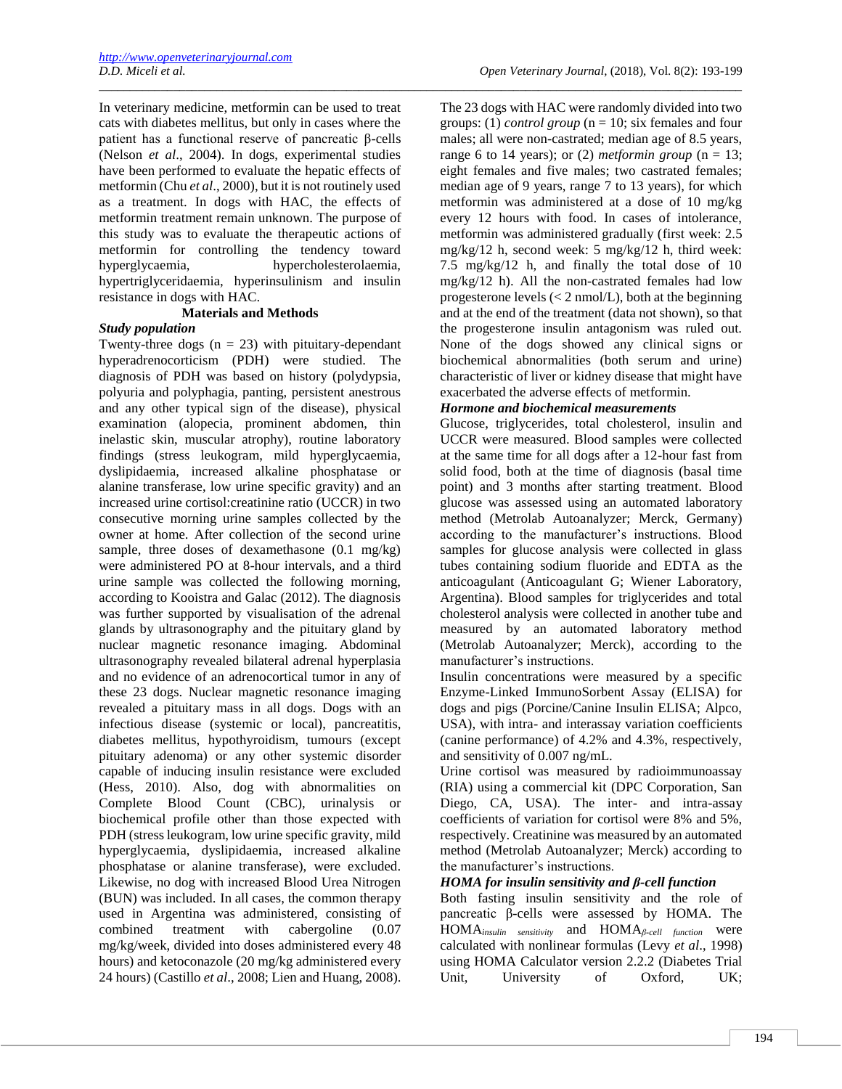In veterinary medicine, metformin can be used to treat cats with diabetes mellitus, but only in cases where the patient has a functional reserve of pancreatic β-cells (Nelson *et al*., 2004). In dogs, experimental studies have been performed to evaluate the hepatic effects of metformin (Chu *et al*., 2000), but it is not routinely used as a treatment. In dogs with HAC, the effects of metformin treatment remain unknown. The purpose of this study was to evaluate the therapeutic actions of metformin for controlling the tendency toward hyperglycaemia, hypercholesterolaemia, hypertriglyceridaemia, hyperinsulinism and insulin resistance in dogs with HAC.

\_\_\_\_\_\_\_\_\_\_\_\_\_\_\_\_\_\_\_\_\_\_\_\_\_\_\_\_\_\_\_\_\_\_\_\_\_\_\_\_\_\_\_\_\_\_\_\_\_\_\_\_\_\_\_\_\_\_\_\_\_\_\_\_\_\_\_\_\_\_\_\_\_\_\_\_\_\_\_\_\_\_\_\_\_\_\_\_\_\_\_\_\_\_\_\_\_\_\_\_\_\_\_\_

# **Materials and Methods**

# *Study population*

Twenty-three dogs  $(n = 23)$  with pituitary-dependant hyperadrenocorticism (PDH) were studied. The diagnosis of PDH was based on history (polydypsia, polyuria and polyphagia, panting, persistent anestrous and any other typical sign of the disease), physical examination (alopecia, prominent abdomen, thin inelastic skin, muscular atrophy), routine laboratory findings (stress leukogram, mild hyperglycaemia, dyslipidaemia, increased alkaline phosphatase or alanine transferase, low urine specific gravity) and an increased urine cortisol:creatinine ratio (UCCR) in two consecutive morning urine samples collected by the owner at home. After collection of the second urine sample, three doses of dexamethasone (0.1 mg/kg) were administered PO at 8-hour intervals, and a third urine sample was collected the following morning, according to Kooistra and Galac (2012). The diagnosis was further supported by visualisation of the adrenal glands by ultrasonography and the pituitary gland by nuclear magnetic resonance imaging. Abdominal ultrasonography revealed bilateral adrenal hyperplasia and no evidence of an adrenocortical tumor in any of these 23 dogs. Nuclear magnetic resonance imaging revealed a pituitary mass in all dogs. Dogs with an infectious disease (systemic or local), pancreatitis, diabetes mellitus, hypothyroidism, tumours (except pituitary adenoma) or any other systemic disorder capable of inducing insulin resistance were excluded (Hess, 2010). Also, dog with abnormalities on Complete Blood Count (CBC), urinalysis or biochemical profile other than those expected with PDH (stress leukogram, low urine specific gravity, mild hyperglycaemia, dyslipidaemia, increased alkaline phosphatase or alanine transferase), were excluded. Likewise, no dog with increased Blood Urea Nitrogen (BUN) was included. In all cases, the common therapy used in Argentina was administered, consisting of combined treatment with cabergoline (0.07 mg/kg/week, divided into doses administered every 48 hours) and ketoconazole (20 mg/kg administered every 24 hours) (Castillo *et al*., 2008; Lien and Huang, 2008). The 23 dogs with HAC were randomly divided into two groups: (1) *control group*  $(n = 10$ ; six females and four males; all were non-castrated; median age of 8.5 years, range 6 to 14 years); or (2) *metformin group* ( $n = 13$ ; eight females and five males; two castrated females; median age of 9 years, range 7 to 13 years), for which metformin was administered at a dose of 10 mg/kg every 12 hours with food. In cases of intolerance, metformin was administered gradually (first week: 2.5 mg/kg/12 h, second week: 5 mg/kg/12 h, third week: 7.5 mg/kg/12 h, and finally the total dose of 10 mg/kg/12 h). All the non-castrated females had low progesterone levels  $\langle \langle 2 \text{ nmol/L} \rangle$ , both at the beginning and at the end of the treatment (data not shown), so that the progesterone insulin antagonism was ruled out. None of the dogs showed any clinical signs or biochemical abnormalities (both serum and urine) characteristic of liver or kidney disease that might have exacerbated the adverse effects of metformin.

# *Hormone and biochemical measurements*

Glucose, triglycerides, total cholesterol, insulin and UCCR were measured. Blood samples were collected at the same time for all dogs after a 12-hour fast from solid food, both at the time of diagnosis (basal time point) and 3 months after starting treatment. Blood glucose was assessed using an automated laboratory method (Metrolab Autoanalyzer; Merck, Germany) according to the manufacturer's instructions. Blood samples for glucose analysis were collected in glass tubes containing sodium fluoride and EDTA as the anticoagulant (Anticoagulant G; Wiener Laboratory, Argentina). Blood samples for triglycerides and total cholesterol analysis were collected in another tube and measured by an automated laboratory method (Metrolab Autoanalyzer; Merck), according to the manufacturer's instructions.

Insulin concentrations were measured by a specific Enzyme-Linked ImmunoSorbent Assay (ELISA) for dogs and pigs (Porcine/Canine Insulin ELISA; Alpco, USA), with intra- and interassay variation coefficients (canine performance) of 4.2% and 4.3%, respectively, and sensitivity of 0.007 ng/mL.

Urine cortisol was measured by radioimmunoassay (RIA) using a commercial kit (DPC Corporation, San Diego, CA, USA). The inter- and intra-assay coefficients of variation for cortisol were 8% and 5%, respectively. Creatinine was measured by an automated method (Metrolab Autoanalyzer; Merck) according to the manufacturer's instructions.

# *HOMA for insulin sensitivity and β-cell function*

Both fasting insulin sensitivity and the role of pancreatic β-cells were assessed by HOMA. The HOMA*insulin sensitivity* and HOMA*β-cell function* were calculated with nonlinear formulas (Levy *et al*., 1998) using HOMA Calculator version 2.2.2 (Diabetes Trial Unit, University of Oxford, UK;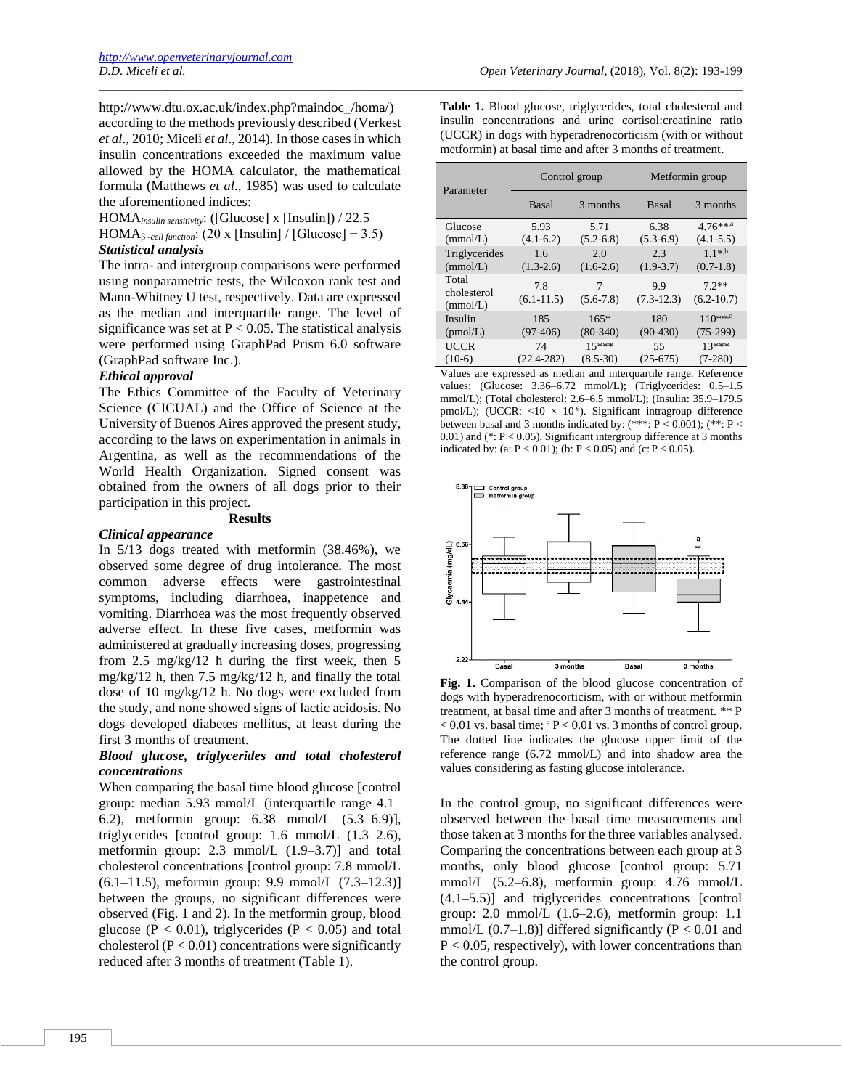http://www.dtu.ox.ac.uk/index.php?maindoc\_/homa/) according to the methods previously described (Verkest *et al*., 2010; Miceli *et al*., 2014). In those cases in which insulin concentrations exceeded the maximum value allowed by the HOMA calculator, the mathematical formula (Matthews *et al*., 1985) was used to calculate the aforementioned indices:

HOMA*insulin sensitivity*: ([Glucose] x [Insulin]) / 22.5

HOMA $_{\beta$ -cell function: (20 x [Insulin] / [Glucose] – 3.5)

# *Statistical analysis*

The intra- and intergroup comparisons were performed using nonparametric tests, the Wilcoxon rank test and Mann-Whitney U test, respectively. Data are expressed as the median and interquartile range. The level of significance was set at  $P < 0.05$ . The statistical analysis were performed using GraphPad Prism 6.0 software (GraphPad software Inc.).

# *Ethical approval*

The Ethics Committee of the Faculty of Veterinary Science (CICUAL) and the Office of Science at the University of Buenos Aires approved the present study, according to the laws on experimentation in animals in Argentina, as well as the recommendations of the World Health Organization. Signed consent was obtained from the owners of all dogs prior to their participation in this project.

#### **Results**

#### *Clinical appearance*

In 5/13 dogs treated with metformin (38.46%), we observed some degree of drug intolerance. The most common adverse effects were gastrointestinal symptoms, including diarrhoea, inappetence and vomiting. Diarrhoea was the most frequently observed adverse effect. In these five cases, metformin was administered at gradually increasing doses, progressing from 2.5 mg/kg/12 h during the first week, then 5 mg/kg/12 h, then 7.5 mg/kg/12 h, and finally the total dose of 10 mg/kg/12 h. No dogs were excluded from the study, and none showed signs of lactic acidosis. No dogs developed diabetes mellitus, at least during the first 3 months of treatment.

# *Blood glucose, triglycerides and total cholesterol concentrations*

When comparing the basal time blood glucose [control group: median 5.93 mmol/L (interquartile range 4.1– 6.2), metformin group: 6.38 mmol/L (5.3–6.9)], triglycerides [control group: 1.6 mmol/L (1.3–2.6), metformin group: 2.3 mmol/L (1.9–3.7)] and total cholesterol concentrations [control group: 7.8 mmol/L (6.1–11.5), meformin group: 9.9 mmol/L (7.3–12.3)] between the groups, no significant differences were observed (Fig. 1 and 2). In the metformin group, blood glucose ( $P < 0.01$ ), triglycerides ( $P < 0.05$ ) and total cholesterol  $(P < 0.01)$  concentrations were significantly reduced after 3 months of treatment (Table 1).

**Table 1.** Blood glucose, triglycerides, total cholesterol and insulin concentrations and urine cortisol:creatinine ratio (UCCR) in dogs with hyperadrenocorticism (with or without metformin) at basal time and after 3 months of treatment.

\_\_\_\_\_\_\_\_\_\_\_\_\_\_\_\_\_\_\_\_\_\_\_\_\_\_\_\_\_\_\_\_\_\_\_\_\_\_\_\_\_\_\_\_\_\_\_\_\_\_\_\_\_\_\_\_\_\_\_\_\_\_\_\_\_\_\_\_\_\_\_\_\_\_\_\_\_\_\_\_\_\_\_\_\_\_\_\_\_\_\_\_\_\_\_\_\_\_\_\_\_\_\_\_

| Parameter                              | Control group                   |                         | Metformin group               |                                          |
|----------------------------------------|---------------------------------|-------------------------|-------------------------------|------------------------------------------|
|                                        | <b>Basal</b>                    | 3 months                | <b>Basal</b>                  | 3 months                                 |
| Glucose<br>(mmol/L)                    | 5.93<br>$(4.1-6.2)$             | 5.71<br>$(5.2 - 6.8)$   | 6.38<br>$(5.3-6.9)$           | $4.76***$ <sup>**</sup><br>$(4.1 - 5.5)$ |
| Triglycerides<br>(mmol/L)              | 1.6<br>$(1.3-2.6)$              | 2.0<br>$(1.6-2.6)$      | 2.3<br>$(1.9 - 3.7)$          | $1.1^{*,b}$<br>$(0.7-1.8)$               |
| Total<br>cholesterol<br>(mmol/L)       | 7.8<br>$(6.1 - 11.5)$           | 7<br>$(5.6 - 7.8)$      | 9.9<br>$(7.3-12.3)$           | $7.2**$<br>$(6.2 - 10.7)$                |
| Insulin<br>(pmol/L)                    | 185<br>$(97-406)$               | $165*$<br>$(80-340)$    | 180<br>$(90-430)$             | $110***$<br>$(75-299)$                   |
| <b>UCCR</b><br>$(10-6)$<br><b>TT 1</b> | 74<br>$(22.4 - 282)$<br>$\cdot$ | $15***$<br>$(8.5 - 30)$ | 55<br>$(25-675)$<br>$\cdot$ . | $13***$<br>$(7-280)$<br>$\mathbf{r}$ $c$ |

Values are expressed as median and interquartile range. Reference values: (Glucose: 3.36–6.72 mmol/L); (Triglycerides: 0.5–1.5 mmol/L); (Total cholesterol: 2.6–6.5 mmol/L); (Insulin: 35.9–179.5 pmol/L); (UCCR:  $\langle 10 \times 10^{-6} \rangle$ . Significant intragroup difference between basal and 3 months indicated by: (\*\*\*: P < 0.001); (\*\*: P <  $(0.01)$  and (\*: P < 0.05). Significant intergroup difference at 3 months indicated by: (a:  $P < 0.01$ ); (b:  $P < 0.05$ ) and (c:  $P < 0.05$ ).



**Fig. 1.** Comparison of the blood glucose concentration of dogs with hyperadrenocorticism, with or without metformin treatment, at basal time and after 3 months of treatment. \*\* P  $< 0.01$  vs. basal time;  ${}^{a}P < 0.01$  vs. 3 months of control group. The dotted line indicates the glucose upper limit of the reference range (6.72 mmol/L) and into shadow area the values considering as fasting glucose intolerance.

In the control group, no significant differences were observed between the basal time measurements and those taken at 3 months for the three variables analysed. Comparing the concentrations between each group at 3 months, only blood glucose [control group: 5.71 mmol/L (5.2–6.8), metformin group: 4.76 mmol/L (4.1–5.5)] and triglycerides concentrations [control group:  $2.0 \text{ mmol/L}$  (1.6–2.6), metformin group: 1.1 mmol/L  $(0.7-1.8)$ ] differed significantly  $(P < 0.01$  and  $P < 0.05$ , respectively), with lower concentrations than the control group.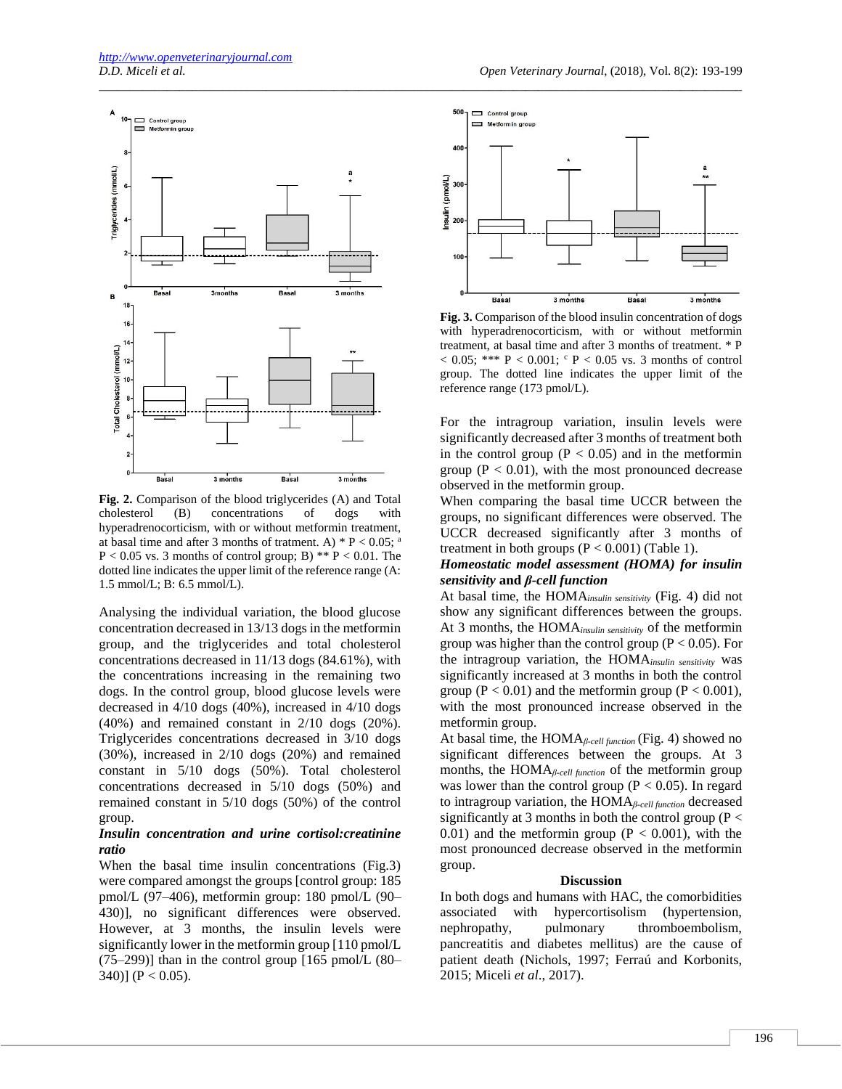

**Fig. 2.** Comparison of the blood triglycerides (A) and Total cholesterol (B) concentrations of dogs with hyperadrenocorticism, with or without metformin treatment, at basal time and after 3 months of tratment. A)  $* P < 0.05$ ; a  $P < 0.05$  vs. 3 months of control group; B) \*\*  $P < 0.01$ . The dotted line indicates the upper limit of the reference range (A: 1.5 mmol/L; B: 6.5 mmol/L).

Analysing the individual variation, the blood glucose concentration decreased in 13/13 dogs in the metformin group, and the triglycerides and total cholesterol concentrations decreased in 11/13 dogs (84.61%), with the concentrations increasing in the remaining two dogs. In the control group, blood glucose levels were decreased in 4/10 dogs (40%), increased in 4/10 dogs (40%) and remained constant in 2/10 dogs (20%). Triglycerides concentrations decreased in 3/10 dogs (30%), increased in 2/10 dogs (20%) and remained constant in 5/10 dogs (50%). Total cholesterol concentrations decreased in 5/10 dogs (50%) and remained constant in 5/10 dogs (50%) of the control group.

#### *Insulin concentration and urine cortisol:creatinine ratio*

When the basal time insulin concentrations (Fig.3) were compared amongst the groups [control group: 185 pmol/L (97–406), metformin group: 180 pmol/L (90– 430)], no significant differences were observed. However, at 3 months, the insulin levels were significantly lower in the metformin group [110 pmol/L  $(75-299)$ ] than in the control group [165 pmol/L  $(80-$ 340)] ( $P < 0.05$ ).



\_\_\_\_\_\_\_\_\_\_\_\_\_\_\_\_\_\_\_\_\_\_\_\_\_\_\_\_\_\_\_\_\_\_\_\_\_\_\_\_\_\_\_\_\_\_\_\_\_\_\_\_\_\_\_\_\_\_\_\_\_\_\_\_\_\_\_\_\_\_\_\_\_\_\_\_\_\_\_\_\_\_\_\_\_\_\_\_\_\_\_\_\_\_\_\_\_\_\_\_\_\_\_\_

**Fig. 3.** Comparison of the blood insulin concentration of dogs with hyperadrenocorticism, with or without metformin treatment, at basal time and after 3 months of treatment. \* P  $< 0.05$ ; \*\*\* P  $< 0.001$ ; <sup>c</sup> P  $< 0.05$  vs. 3 months of control group. The dotted line indicates the upper limit of the reference range (173 pmol/L).

For the intragroup variation, insulin levels were significantly decreased after 3 months of treatment both in the control group  $(P < 0.05)$  and in the metformin group ( $P < 0.01$ ), with the most pronounced decrease observed in the metformin group.

When comparing the basal time UCCR between the groups, no significant differences were observed. The UCCR decreased significantly after 3 months of treatment in both groups  $(P < 0.001)$  (Table 1).

## *Homeostatic model assessment (HOMA) for insulin sensitivity* **and** *β-cell function*

At basal time, the HOMA*insulin sensitivity* (Fig. 4) did not show any significant differences between the groups. At 3 months, the HOMA*insulin sensitivity* of the metformin group was higher than the control group ( $P < 0.05$ ). For the intragroup variation, the HOMA*insulin sensitivity* was significantly increased at 3 months in both the control group ( $P < 0.01$ ) and the metformin group ( $P < 0.001$ ), with the most pronounced increase observed in the metformin group.

At basal time, the HOMA*β-cell function* (Fig. 4) showed no significant differences between the groups. At 3 months, the HOMA*β-cell function* of the metformin group was lower than the control group ( $P < 0.05$ ). In regard to intragroup variation, the HOMA*β-cell function* decreased significantly at 3 months in both the control group ( $P <$ 0.01) and the metformin group ( $P < 0.001$ ), with the most pronounced decrease observed in the metformin group.

#### **Discussion**

In both dogs and humans with HAC, the comorbidities associated with hypercortisolism (hypertension, nephropathy, pulmonary thromboembolism, pancreatitis and diabetes mellitus) are the cause of patient death (Nichols, 1997; Ferraú and Korbonits, 2015; Miceli *et al*., 2017).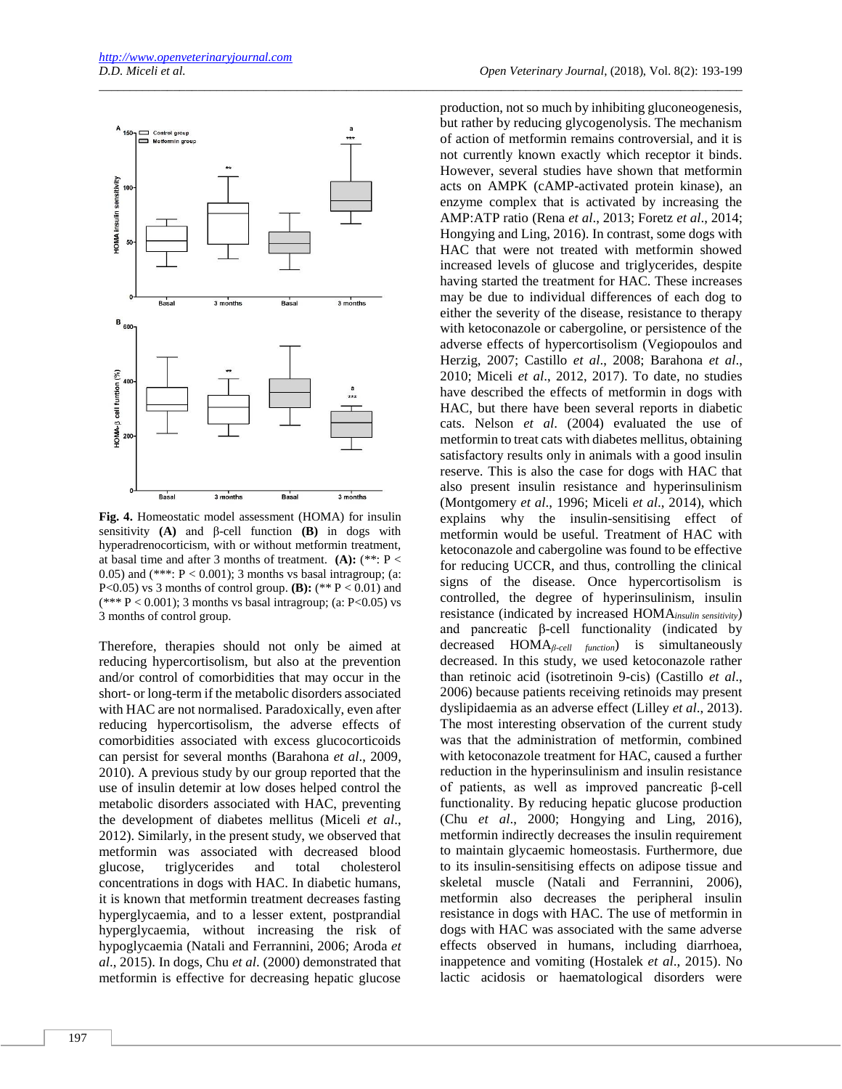

**Fig. 4.** Homeostatic model assessment (HOMA) for insulin sensitivity **(A)** and β-cell function **(B)** in dogs with hyperadrenocorticism, with or without metformin treatment, at basal time and after 3 months of treatment. **(A):** (\*\*: P < 0.05) and  $(***: P < 0.001)$ ; 3 months vs basal intragroup; (a: P<0.05) vs 3 months of control group. **(B):**  $(**P < 0.01)$  and  $(*** P < 0.001);$  3 months vs basal intragroup; (a: P<0.05) vs 3 months of control group.

Therefore, therapies should not only be aimed at reducing hypercortisolism, but also at the prevention and/or control of comorbidities that may occur in the short- or long-term if the metabolic disorders associated with HAC are not normalised. Paradoxically, even after reducing hypercortisolism, the adverse effects of comorbidities associated with excess glucocorticoids can persist for several months (Barahona *et al*., 2009, 2010). A previous study by our group reported that the use of insulin detemir at low doses helped control the metabolic disorders associated with HAC, preventing the development of diabetes mellitus (Miceli *et al*., 2012). Similarly, in the present study, we observed that metformin was associated with decreased blood glucose, triglycerides and total cholesterol concentrations in dogs with HAC. In diabetic humans, it is known that metformin treatment decreases fasting hyperglycaemia, and to a lesser extent, postprandial hyperglycaemia, without increasing the risk of hypoglycaemia (Natali and Ferrannini, 2006; Aroda *et al*., 2015). In dogs, Chu *et al*. (2000) demonstrated that metformin is effective for decreasing hepatic glucose

\_\_\_\_\_\_\_\_\_\_\_\_\_\_\_\_\_\_\_\_\_\_\_\_\_\_\_\_\_\_\_\_\_\_\_\_\_\_\_\_\_\_\_\_\_\_\_\_\_\_\_\_\_\_\_\_\_\_\_\_\_\_\_\_\_\_\_\_\_\_\_\_\_\_\_\_\_\_\_\_\_\_\_\_\_\_\_\_\_\_\_\_\_\_\_\_\_\_\_\_\_\_\_\_

production, not so much by inhibiting gluconeogenesis, but rather by reducing glycogenolysis. The mechanism of action of metformin remains controversial, and it is not currently known exactly which receptor it binds. However, several studies have shown that metformin acts on AMPK (cAMP-activated protein kinase), an enzyme complex that is activated by increasing the AMP:ATP ratio (Rena *et al*., 2013; Foretz *et al*., 2014; Hongying and Ling, 2016). In contrast, some dogs with HAC that were not treated with metformin showed increased levels of glucose and triglycerides, despite having started the treatment for HAC. These increases may be due to individual differences of each dog to either the severity of the disease, resistance to therapy with ketoconazole or cabergoline, or persistence of the adverse effects of hypercortisolism (Vegiopoulos and Herzig, 2007; Castillo *et al*., 2008; Barahona *et al*., 2010; Miceli *et al*., 2012, 2017). To date, no studies have described the effects of metformin in dogs with HAC, but there have been several reports in diabetic cats. Nelson *et al*. (2004) evaluated the use of metformin to treat cats with diabetes mellitus, obtaining satisfactory results only in animals with a good insulin reserve. This is also the case for dogs with HAC that also present insulin resistance and hyperinsulinism (Montgomery *et al*., 1996; Miceli *et al*., 2014), which explains why the insulin-sensitising effect of metformin would be useful. Treatment of HAC with ketoconazole and cabergoline was found to be effective for reducing UCCR, and thus, controlling the clinical signs of the disease. Once hypercortisolism is controlled, the degree of hyperinsulinism, insulin resistance (indicated by increased HOMA*insulin sensitivity*) and pancreatic β-cell functionality (indicated by decreased HOMA*β-cell function*) is simultaneously decreased. In this study, we used ketoconazole rather than retinoic acid (isotretinoin 9-cis) (Castillo *et al*., 2006) because patients receiving retinoids may present dyslipidaemia as an adverse effect (Lilley *et al*., 2013). The most interesting observation of the current study was that the administration of metformin, combined with ketoconazole treatment for HAC, caused a further reduction in the hyperinsulinism and insulin resistance of patients, as well as improved pancreatic β-cell functionality. By reducing hepatic glucose production (Chu *et al*., 2000; Hongying and Ling, 2016), metformin indirectly decreases the insulin requirement to maintain glycaemic homeostasis. Furthermore, due to its insulin-sensitising effects on adipose tissue and skeletal muscle (Natali and Ferrannini, 2006), metformin also decreases the peripheral insulin resistance in dogs with HAC. The use of metformin in dogs with HAC was associated with the same adverse effects observed in humans, including diarrhoea, inappetence and vomiting (Hostalek *et al*., 2015). No lactic acidosis or haematological disorders were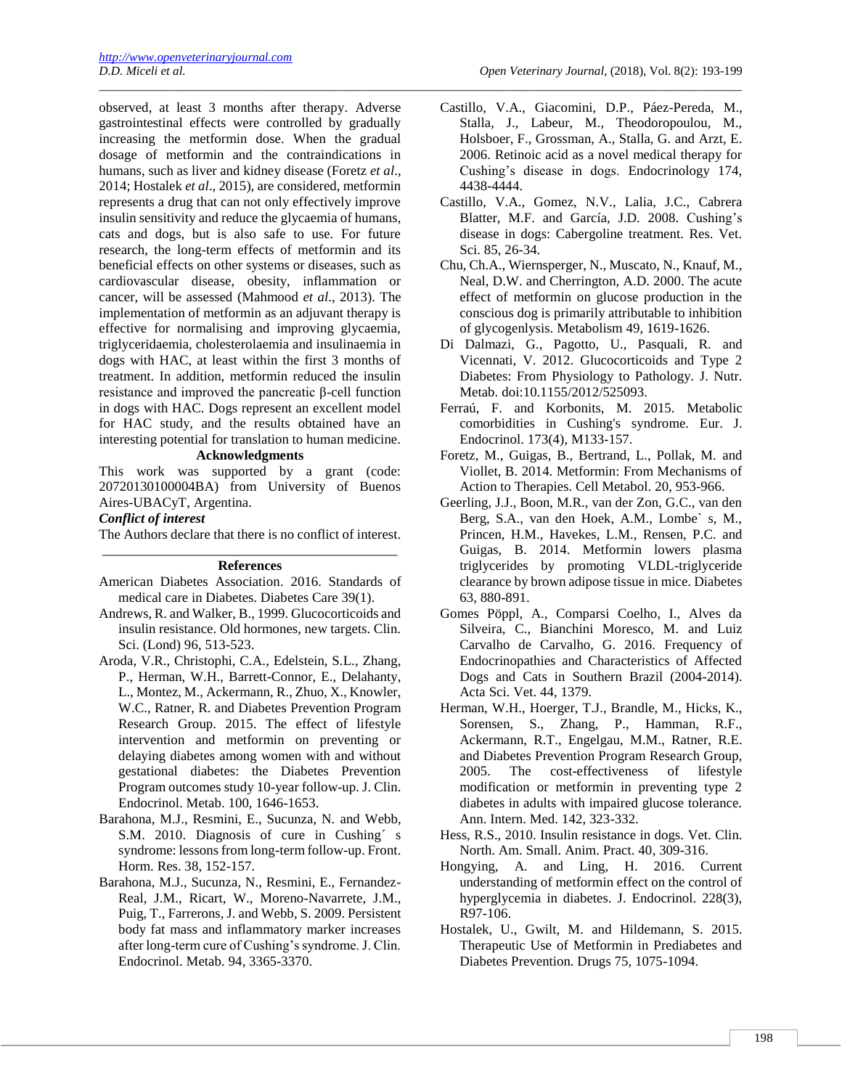observed, at least 3 months after therapy. Adverse gastrointestinal effects were controlled by gradually increasing the metformin dose. When the gradual dosage of metformin and the contraindications in humans, such as liver and kidney disease (Foretz *et al*., 2014; Hostalek *et al*., 2015), are considered, metformin represents a drug that can not only effectively improve insulin sensitivity and reduce the glycaemia of humans, cats and dogs, but is also safe to use. For future research, the long-term effects of metformin and its beneficial effects on other systems or diseases, such as cardiovascular disease, obesity, inflammation or cancer, will be assessed (Mahmood *et al*., 2013). The implementation of metformin as an adjuvant therapy is effective for normalising and improving glycaemia, triglyceridaemia, cholesterolaemia and insulinaemia in dogs with HAC, at least within the first 3 months of treatment. In addition, metformin reduced the insulin resistance and improved the pancreatic β-cell function in dogs with HAC. Dogs represent an excellent model for HAC study, and the results obtained have an interesting potential for translation to human medicine.

## **Acknowledgments**

This work was supported by a grant (code: 20720130100004BA) from University of Buenos Aires-UBACyT, Argentina.

#### *Conflict of interest*

The Authors declare that there is no conflict of interest.

#### \_\_\_\_\_\_\_\_\_\_\_\_\_\_\_\_\_\_\_\_\_\_\_\_\_\_\_\_\_\_\_\_\_\_\_\_\_\_\_\_\_\_\_ **References**

- American Diabetes Association. 2016. Standards of medical care in Diabetes. Diabetes Care 39(1).
- Andrews, R. and Walker, B., 1999. Glucocorticoids and insulin resistance. Old hormones, new targets. Clin. Sci. (Lond) 96, 513-523.
- Aroda, V.R., Christophi, C.A., Edelstein, S.L., Zhang, P., Herman, W.H., Barrett-Connor, E., Delahanty, L., Montez, M., Ackermann, R., Zhuo, X., Knowler, W.C., Ratner, R. and Diabetes Prevention Program Research Group. 2015. The effect of lifestyle intervention and metformin on preventing or delaying diabetes among women with and without gestational diabetes: the Diabetes Prevention Program outcomes study 10-year follow-up. J. Clin. Endocrinol. Metab. 100, 1646-1653.
- Barahona, M.J., Resmini, E., Sucunza, N. and Webb, S.M. 2010. Diagnosis of cure in Cushing´ s syndrome: lessons from long-term follow-up. Front. Horm. Res. 38, 152-157.
- Barahona, M.J., Sucunza, N., Resmini, E., Fernandez-Real, J.M., Ricart, W., Moreno-Navarrete, J.M., Puig, T., Farrerons, J. and Webb, S. 2009. Persistent body fat mass and inflammatory marker increases after long-term cure of Cushing's syndrome. J. Clin. Endocrinol. Metab. 94, 3365-3370.

Castillo, V.A., Giacomini, D.P., Páez-Pereda, M., Stalla, J., Labeur, M., Theodoropoulou, M., Holsboer, F., Grossman, A., Stalla, G. and Arzt, E. 2006. Retinoic acid as a novel medical therapy for Cushing's disease in dogs. Endocrinology 174, 4438-4444.

\_\_\_\_\_\_\_\_\_\_\_\_\_\_\_\_\_\_\_\_\_\_\_\_\_\_\_\_\_\_\_\_\_\_\_\_\_\_\_\_\_\_\_\_\_\_\_\_\_\_\_\_\_\_\_\_\_\_\_\_\_\_\_\_\_\_\_\_\_\_\_\_\_\_\_\_\_\_\_\_\_\_\_\_\_\_\_\_\_\_\_\_\_\_\_\_\_\_\_\_\_\_\_\_

- Castillo, V.A., Gomez, N.V., Lalia, J.C., Cabrera Blatter, M.F. and García, J.D. 2008. Cushing's disease in dogs: Cabergoline treatment. Res. Vet. Sci. 85, 26-34.
- Chu, Ch.A., Wiernsperger, N., Muscato, N., Knauf, M., Neal, D.W. and Cherrington, A.D. 2000. The acute effect of metformin on glucose production in the conscious dog is primarily attributable to inhibition of glycogenlysis. Metabolism 49, 1619-1626.
- Di Dalmazi, G., Pagotto, U., Pasquali, R. and Vicennati, V. 2012. Glucocorticoids and Type 2 Diabetes: From Physiology to Pathology. J. Nutr. Metab. doi:10.1155/2012/525093.
- Ferraú, F. and Korbonits, M. 2015. Metabolic comorbidities in Cushing's syndrome. Eur. J. Endocrinol. 173(4), M133-157.
- Foretz, M., Guigas, B., Bertrand, L., Pollak, M. and Viollet, B. 2014. Metformin: From Mechanisms of Action to Therapies. Cell Metabol. 20, 953-966.
- Geerling, J.J., Boon, M.R., van der Zon, G.C., van den Berg, S.A., van den Hoek, A.M., Lombe` s, M., Princen, H.M., Havekes, L.M., Rensen, P.C. and Guigas, B. 2014. Metformin lowers plasma triglycerides by promoting VLDL-triglyceride clearance by brown adipose tissue in mice. Diabetes 63, 880-891.
- Gomes Pöppl, A., Comparsi Coelho, I., Alves da Silveira, C., Bianchini Moresco, M. and Luiz Carvalho de Carvalho, G. 2016. Frequency of Endocrinopathies and Characteristics of Affected Dogs and Cats in Southern Brazil (2004-2014). Acta Sci. Vet. 44, 1379.
- Herman, W.H., Hoerger, T.J., Brandle, M., Hicks, K., Sorensen, S., Zhang, P., Hamman, R.F., Ackermann, R.T., Engelgau, M.M., Ratner, R.E. and Diabetes Prevention Program Research Group, 2005. The cost-effectiveness of lifestyle modification or metformin in preventing type 2 diabetes in adults with impaired glucose tolerance. Ann. Intern. Med. 142, 323-332.
- Hess, R.S., 2010. Insulin resistance in dogs. Vet. Clin. North. Am. Small. Anim. Pract. 40, 309-316.
- Hongying, A. and Ling, H. 2016. Current understanding of metformin effect on the control of hyperglycemia in diabetes. J. Endocrinol. 228(3), R97-106.
- Hostalek, U., Gwilt, M. and Hildemann, S. 2015. Therapeutic Use of Metformin in Prediabetes and Diabetes Prevention. Drugs 75, 1075-1094.